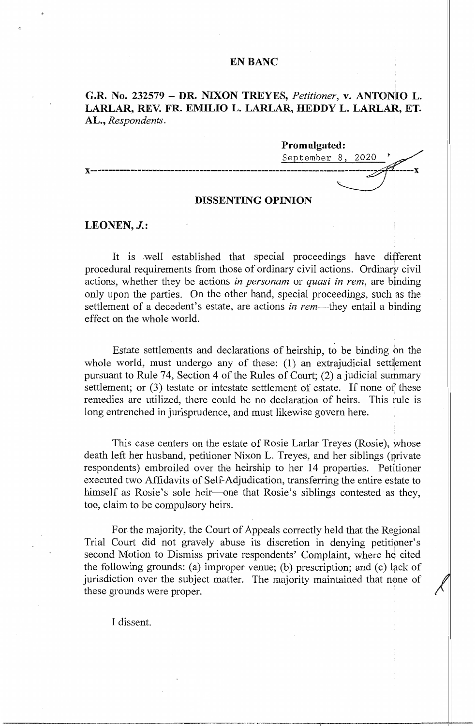# **EN BANC**

# **G.R. No. 232579 - DR. NIXON TREYES,** *Petitioner,* **v. ANTONIO L. LARLAR, REV. FR. EMILIO L. LARLAR, REDDY L. LARLAR, ET. AL.,** *Respondents.*



# **DISSENTING OPINION**

## **LEONEN, J.:**

It is well established that special proceedings have different procedural requirements from those of ordinary civil actions. Ordinary civil actions, whether they be actions *in personam* or *quasi in rem,* are binding only upon the parties. On the other hand, special proceedings, such as the settlement of a decedent's estate, are actions *in rem-they* entail a binding effect on the whole world.

Estate settlements and declarations of heirship, to be binding on the whole world, must undergo any of these:  $(1)$  an extrajudicial settlement pursuant to Rule 74, Section 4 of the Rules of Court; (2) a judicial summary settlement; or (3) testate or intestate settlement of estate. If none of these remedies are utilized, there could be no declaration of heirs. This rule is long entrenched in jurisprudence, and must likewise govern here.

This case centers on the estate of Rosie Larlar Treyes (Rosie), whose death left her husband, petitioner Nixon L. Treyes, and her siblings (private respondents) embroiled over the heirship to her 14 properties. Petitioner executed two Affidavits of Self-Adjudication, transferring the entire estate to himself as Rosie's sole heir—one that Rosie's siblings contested as they, too, claim to be compulsory heirs.

For the majority, the Court of Appeals correctly held that the Regional Trial Court did not gravely abuse its discretion in denying petitioner's second Motion to Dismiss private respondents' Complaint, where he cited the following grounds: (a) improper venue; (b) prescription; and (c) lack of jurisdiction over the subject matter. The majority maintained that none of these grounds were proper.

I dissent.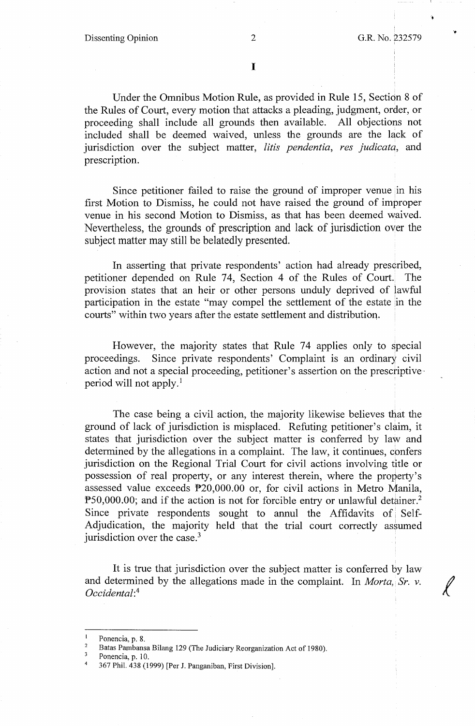..

I

Under the Omnibus Motion Rule, as provided in Rule 15, Section 8 of the Rules of Court, every motion that attacks a pleading, judgment, order, or proceeding shall include all grounds then available. All objections not included shall be deemed waived, unless the grounds are the lack of jurisdiction over the subject matter, *litis pendentia, res judicatq,* and prescription.

Since petitioner failed to raise the ground of improper venue in his first Motion to Dismiss, he could not have raised the ground of improper venue in his second Motion to Dismiss, as that has been deemed waived. Nevertheless, the grounds of prescription and lack of jurisdiction over the subject matter may still be belatedly presented.

In asserting that private respondents' action had already prescribed, petitioner depended on Rule 74, Section 4 of the Rules of Court. The provision states that an heir or other persons unduly deprived of lawful participation in the estate "may compel the settlement of the estate in the courts" within two years after the estate settlement and distribution.

However, the majority states that Rule 74 applies only to special proceedings. Since private respondents' Complaint is an ordinary civil action and not a special proceeding, petitioner's assertion on the prescriptive· period will not apply. 1

The case being a civil action, the majority likewise believes that the ground of lack of jurisdiction is misplaced. Refuting petitioner's claim, it states that jurisdiction over the subject matter is conferred by law and determined by the allegations in a complaint. The law, it continues, confers jurisdiction on the Regional Trial Court for civil actions involving title or possession of real property, or any interest therein, where the property's assessed value exceeds P20,000.00 or, for civil actions in Metro Manila, P50,000.00; and if the action is not for forcible entry or unlawful detainer.<sup>2</sup> Since private respondents sought to annul the Affidavits of Self-Adjudication, the majority held that the trial court correctly assumed jurisdiction over the case.<sup>3</sup>

It is true that jurisdiction over the subject matter is conferred by law and determined by the allegations made in the complaint. In *Morta*, Sr. v. *Occidental:*<sup>4</sup>

Ponencia, p. 10.

Ponencia, p. 8.

<sup>&</sup>lt;sup>2</sup> Batas Pambansa Bilang 129 (The Judiciary Reorganization Act of 1980).<br>
<sup>3</sup> Penensia n 10

<sup>4</sup> 367 Phil. 438 (1999) [Per J. Panganiban, First Division].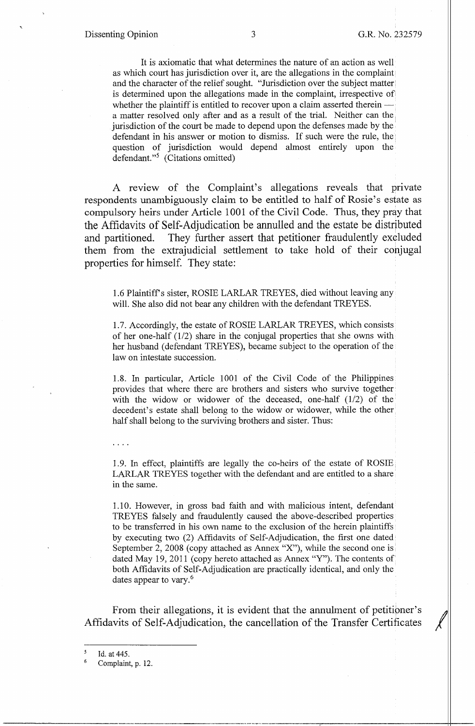It is axiomatic that what determines the nature of an action as well as which court has jurisdiction over it, are the allegations in the complaint· and the character of the relief sought. "Jurisdiction over the subject matter is determined upon the allegations made in the complaint, irrespective of whether the plaintiff is entitled to recover upon a claim asserted therein a matter resolved only after and as a result of the trial. Neither can the jurisdiction of the court be made to depend upon the defenses made by the' defendant in his answer or motion to dismiss. If such were the rule, the question of jurisdiction would depend almost entirely upon the defendant."5 (Citations omitted)

A review of the Complaint's allegations reveals that private respondents unambiguously claim to be entitled to half of Rosie's estate as compulsory heirs under Article 1001 of the Civil Code. Thus, they pray that the Affidavits of Self-Adjudication be annulled and the estate be distributed and partitioned. They further assert that petitioner fraudulently excluded them from the extrajudicial settlement to take hold of their conjugal properties for himself. They state:

1.6 Plaintiff's sister, ROSIE LARLAR TREYES, died without leaving any will. She also did not bear any children with the defendant TREYES.

1.7. Accordingly, the estate of ROSIE LARLAR TREYES, which consists of her one-half (1/2) share in the conjugal properties that she owns with her husband ( defendant TREYES), became subject to the operation of the law on intestate succession.

1.8. In particular, Article 1001 of the Civil Code of the Philippines provides that where there are brothers and sisters who survive together with the widow or widower of the deceased, one-half  $(1/2)$  of the decedent's estate shall belong to the widow or widower, while the other half shall belong to the surviving brothers and sister. Thus:

1.9. In effect, plaintiffs are legally the co-heirs of the estate of ROSIE. LARLAR TREYES together with the defendant and are entitled to a share in the same.

1.10. However, in gross bad faith and with malicious intent, defendant TREYES falsely and fraudulently caused the above-described properties to be transferred in his own name to the exclusion of the herein plaintiffs by executing two (2) Affidavits of Self-Adjudication, the first one dated· September 2, 2008 (copy attached as Annex "X"), while the second one is dated May 19, 2011 (copy hereto attached as Annex "Y"). The contents of both Affidavits of Self-Adjudication are practically identical, and only the dates appear to vary.<sup>6</sup>

From their allegations, it is evident that the annulment of petitioner's Affidavits of Self-Adjudication, the cancellation of the Transfer Certificates

*<sup>5</sup>*  Id. at 445.

<sup>6</sup>  Complaint, p. 12.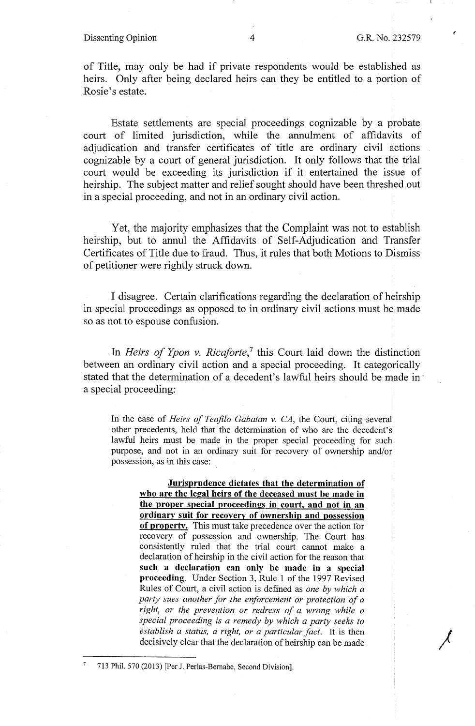#### Dissenting Opinion 4 G.R. No. 232579

*)* 

of Title, may only be had if private respondents would be established as heirs. Only after being declared heirs can they be entitled to a portion of Rosie's estate. '

Estate settlements are special proceedings cognizable by a probate court of limited jurisdiction, while the annulment of affidavits of adjudication and transfer certificates of title are ordinary civil actions cognizable by a court of general jurisdiction. It only follows that the trial court would be exceeding its jurisdiction if it entertained the issue of heirship. The subject matter and relief sought should have been threshed out in a special proceeding, and not in an ordinary civil action.

Yet, the majority emphasizes that the Complaint was not to establish heirship, but to annul the Affidavits of Self-Adjudication and Transfer Certificates of Title due to fraud. Thus, it rules that both Motions to Dismiss of petitioner were rightly struck down.

I disagree. Certain clarifications regarding the declaration of heirship in special proceedings as opposed to in ordinary civil actions must be made so as not to espouse confusion.

In *Heirs of Ypon v. Ricaforte*,<sup>7</sup> this Court laid down the distinction between an ordinary civil action and a special proceeding. It categorically stated that the determination of a decedent's lawful heirs should be made in a special proceeding:

In the case of *Heirs of Teofilo Gabatan v. CA*, the Court, citing several other precedents, held that the determination of who are the decedent's lawful heirs must be made in the proper special proceeding for such purpose, and not in an ordinary suit for recovery of ownership and/or possession, as in this case:

**Jurisprudence dictates that the determination of who are the legal heirs of the deceased must be made in the proper special proceedings in court, and not in an ordinary suit for recovery of ownership and possession of property.** This must take precedence over the action for recovery of possession and ownership. The Court has consistently rnled that the trial court cannot make a declaration of heirship in the civil action for the reason that **such a declaration can only be made in a special proceeding.** Under Section 3, Rule 1 of the 1997 Revised Rules of Court, a civil action is defined as *one by which a party sues another for the enforcement or protection of a right, or the prevention or redress of a wrong while a special proceeding is a remedy by which a party seeks to establish a status, a right, or a particular fact.* It is then decisively clear that the declaration of heirship can be made

<sup>7</sup>713 Phil. 570 (2013) [Per J. Perlas-Bernabe, Second Division].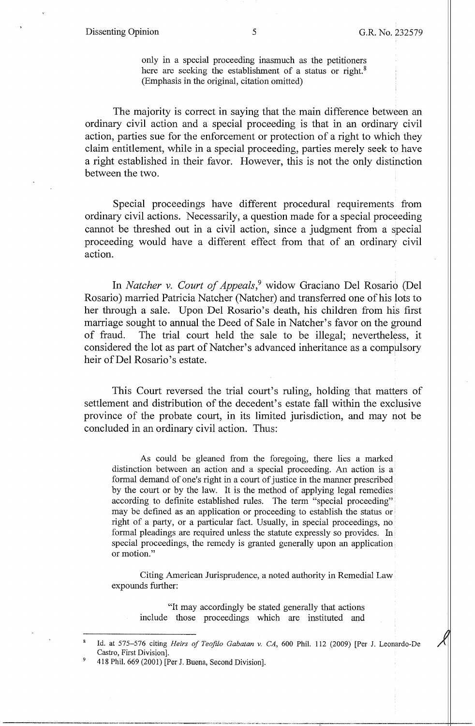### Dissenting Opinion 5 G.R. No. 232579

only in a special proceeding inasmuch as the petitioners here are seeking the establishment of a status or right.<sup>8</sup> (Emphasis in the original, citation omitted)

The majority is correct in saying that the main difference between an ordinary civil action and a special proceeding is that in an ordinary civil action, parties sue for the enforcement or protection of a right to which they claim entitlement, while in a special proceeding, parties merely seek to have a right established in their favor. However, this is not the only distinction between the two.

Special proceedings have different procedural requirements from ordinary civil actions. Necessarily, a question made for a special proceeding cannot be threshed out in a civil action, since a judgment from a special proceeding would have a different effect from that of an ordinary civil action.

In *Natcher v. Court of Appeals,9* widow Graciano Del Rosario (Del Rosario) married Patricia Natcher (Natcher) and transferred one of his lots to her through a sale. Upon Del Rosario's death, his children from his first marriage sought to annual the Deed of Sale in Natcher's favor on the ground of fraud. The trial court held the sale to be illegal; nevertheless, it considered the lot as part of Natcher' s advanced inheritance as a compulsory heir of Del Rosario's estate.

This Court reversed the trial court's ruling, holding that matters of settlement and distribution of the decedent's estate fall within the exclusive province of the probate court, in its limited jurisdiction, and may not be concluded in an ordinary civil action. Thus:

As could be gleaned from the foregoing, there lies a marked distinction between an action and a special proceeding. An action is a formal demand of one's right in a court of justice in the manner prescribed by the court or by the law. It is the method of applying legal remedies according to definite established rules. The term "special proceeding" may be defined as an application or proceeding to establish the status or right of a party, or a particular fact. Usually, in special proceedings, no formal pleadings are required unless the statute expressly so provides. In special proceedings, the remedy is granted generally upon an application. or motion."

Citing American Jurisprudence, a noted authority in Remedial Law expounds further:

"It may accordingly be stated generally that actions include those proceedings which are instituted and

<sup>8</sup>Id. at 575-576 citing *Heirs of Teofila Gabatan v. CA,* 600 Phil. 112 (2009) [Per J. Leonardo-De Castro, First Division].

<sup>9</sup>418 Phil. 669 (2001) [Per J. Buena, Second Division].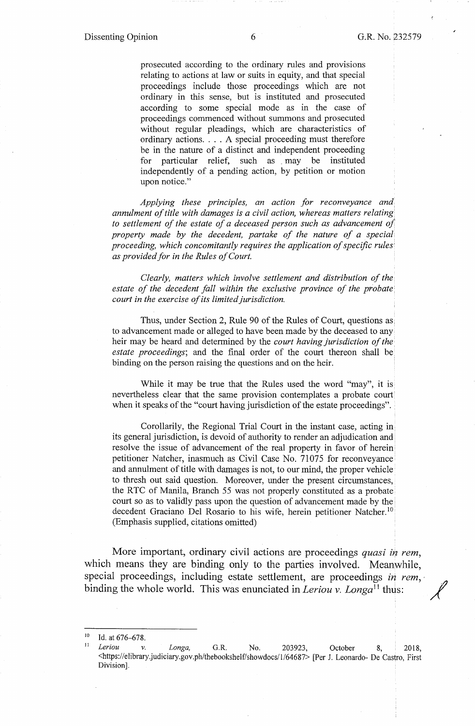prosecuted according to the ordinary rules and provisions relating to actions at law or suits in equity, and that special proceedings include those proceedings which are not ordinary in this sense, but is instituted and prosecuted according to some special mode as in the case of proceedings commenced without summons and prosecuted without regular pleadings, which are characteristics of ordinary actions. . . . A special proceeding must therefore be in the nature of a distinct and independent proceeding for particular relief, such as , may be instituted independently of a pending action, by petition or motion upon notice."

*Applying these principles, an action for reconveyance and annulment of title with damages is a civil action, whereas matters relating to settlement of the estate of a deceased person such as advancement o/ property made by the decedent, partake of the nature of a special proceeding, which concomitantly requires the application of specific rules as provided for in the Rules of Court.* 

*Clearly, matters which involve settlement and distribution of the estate of the decedent fall within the exclusive province of the probate court in the exercise of its limited jurisdiction.* 

Thus, under Section 2, Rule 90 of the Rules of Court, questions as. to advancement made or alleged to have been made by the deceased to any heir may be heard and determined by the *court having jurisdiction of the estate proceedings;* and the final order of the court thereon shall be binding on the person raising the questions and on the heir.

While it may be true that the Rules used the word "may", it is nevertheless clear that the same provision contemplates a probate court when it speaks of the "court having jurisdiction of the estate proceedings".

Corollarily, the Regional Trial Court in the instant case, acting in: its general jurisdiction, is devoid of authority to render an adjudication and resolve the issue of advancement of the real property in favor of herein petitioner Natcher, inasmuch as Civil Case No. 71075 for reconveyance and annulment of title with damages is not, to our mind, the proper vehicle to thresh out said question. Moreover, under the present circumstances, the RTC of Manila, Branch 55 was not properly constituted as a probate court so as to validly pass upon the question of advancement made by the decedent Graciano Del Rosario to his wife, herein petitioner Natcher.<sup>10</sup> (Emphasis supplied, citations omitted)

More important, ordinary civil actions are proceedings *quasi in rem*, which means they are binding only to the parties involved. Meanwhile, special proceedings, including estate settlement, are proceedings *in rem*, binding the whole world. This was enunciated in *Leriou v. Longa*<sup>11</sup> thus:

<sup>10</sup> Id. at 676--078. 11 *Leriou v. Longa,* G.R. No. 203923, October 8, 2018, <https://elibrary.judiciary.gov.ph/thebookshelf/showdocs/1/64687> [Per J. Leonardo- De Castro, First Division].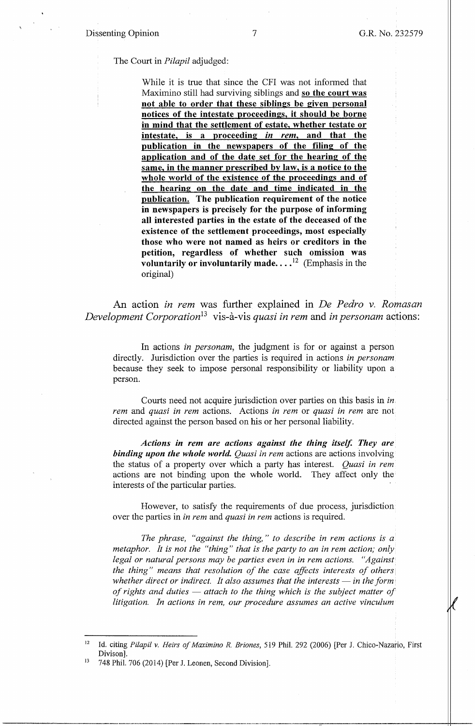The Court in *Pilapil* adjudged:

While it is true that since the CFI was not informed that Maximino still had surviving siblings and **so the court was not able to order that these siblings be given personal notices of the intestate proceedings, it should be borne in mind that the settlement of estate, whether testate or intestate, is a proceeding** *in rem,* **and that the publication in the newspapers of the filing of the application and of the date set for the hearing of the same, in the manner prescribed by law, is a notice to the whole world of the existence of the proceedings and of the hearing on the date and time indicated in the publication. The publication requirement of the notice in newspapers is precisely for the purpose of informing all interested parties in the estate of the deceased of the existence of the settlement proceedings, most especially those who were not named as heirs or creditors in the petition, regardless of whether such omission was voluntarily or involuntarily made....**<sup>12</sup> (Emphasis in the original)

An action *in rem* was further explained in *De Pedro v. Romasan Development Corporation*<sup>13</sup> vis-à-vis *quasi in rem* and *in personam* actions:

In actions *in personam,* the judgment is for or against a person directly. Jurisdiction over the parties is required in actions *in personam*  because they seek to impose personal responsibility or liability upon a person.

Courts need not acquire jurisdiction over parties on this basis in *in. rem* and *quasi in rem* actions. Actions *in rem* or *quasi in rem* are not directed against the person based on his or her personal liability.

*Actions in rem are actions against the thing itself. They are binding upon the whole world. Quasi in rem* actions are actions involving the status of a property over which a party has interest. *Quasi in rem*  actions are not binding upon the whole world. They affect only the interests of the particular parties.

However, to satisfy the requirements of due process, jurisdiction over the parties in *in rem* and *quasi in rem* actions is required.

*The phrase, "against the thing," to describe in rem actions is a metaphor. It is not the "thing" that is the party to an in rem action; only* legal or natural persons may be parties even in in rem actions. "Against *the thing" means that resolution of the case affects interests of others whether direct or indirect. It also assumes that the interests — in the form of rights and duties — attach to the thing which is the subject matter of litigation. In actions in rem, our procedure assumes an active vinculum* 

<sup>12</sup> Id. citing *Pilapil v. Heirs of Maximina R. Briones,* 519 Phil. 292 (2006) [Per J. Chico-Nazario, First Divison].<br><sup>13</sup> 748 Phil. 706 (2014) [Per J. Leonen, Second Division].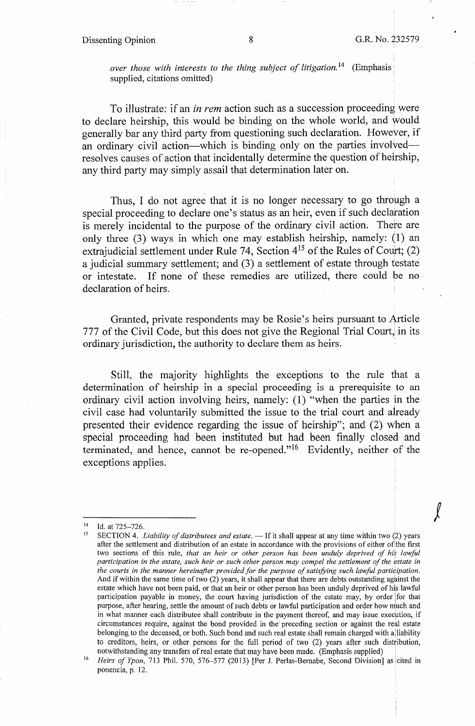## Dissenting Opinion 8 8 G.R. No. 232579

 $\int$ 

*over those with interests to the thing subject of litigation.*<sup>14</sup> (Emphasis supplied, citations omitted)

To illustrate: if an *in rem* action such as a succession proceeding were to declare heirship, this would be binding on the whole world, and would generally bar any third party from questioning such declaration. However, if an ordinary civil action—which is binding only on the parties involved resolves causes of action that incidentally determine the question of heirship, any third party may simply assail that determination later on.

Thus, I do not agree that it is no longer necessary to go through a special proceeding to declare one's status as an heir, even if such declaration is merely incidental to the purpose of the ordinary civil action. There are only three (3) ways in which one may establish heirship, namely: (1) an extrajudicial settlement under Rule 74, Section  $4^{15}$  of the Rules of Court; (2) a judicial summary settlement; and (3) a settlement of estate through testate or intestate. If none of these remedies are utilized, there could be no declaration of heirs.

Granted, private respondents may be Rosie's heirs pursuant to Article 777 of the Civil Code, but this does not give the Regional Trial Court, in its ordinary jurisdiction, the authority to declare them as heirs.

Still, the majority highlights the exceptions to the rule that a determination of heirship in a special proceeding is a prerequisite to an ordinary civil action involving heirs, namely: (1) "when the parties in the civil case had voluntarily submitted the issue to the trial court and already presented their evidence regarding the issue of heirship"; and (2) when a special proceeding had been instituted but had been finally closed and terminated, and hence, cannot be re-opened."16 Evidently, neither of the exceptions applies.

<sup>&</sup>lt;sup>14</sup> Id. at 725–726.<br><sup>15</sup> SECTION 4. *Liability of distributees and estate*. — If it shall appear at any time within two (2) years after the settlement and distribution of an estate in accordance with the provisions of either of the first two sections of this rule, *that an heir or other person has been unduly deprived of his lawful participation in the estate, such heir or such other person may compel the settlement of the estate in* the courts in the manner hereinafter provided for the purpose of satisfying such lawful participation. And if within the same time of two  $(2)$  years, it shall appear that there are debts outstanding against the estate which have not been paid, or that an heir or other person has been unduly deprived of his lawful participation payable in money, the court having jurisdiction of the estate may, by order for that purpose, after hearing, settle the amount of such debts or lawful participation and order how much and in what manner each distributee shall contribute in the payment thereof, and may issue execution, if circumstances require, against the bond provided in the preceding section or against the real estate belonging to the deceased, or both. Such bond and such real estate shall remain charged with a liability to creditors, heirs, or other persons for the full period of two (2) years after such distribution, notwithstanding any transfers of real estate that may have been made. (Emphasis supplied)

<sup>&</sup>lt;sup>16</sup> Heirs of Ypon, 713 Phil. 570, 576-577 (2013) [Per J. Perlas-Bernabe, Second Division] as cited in ponencia, p. 12.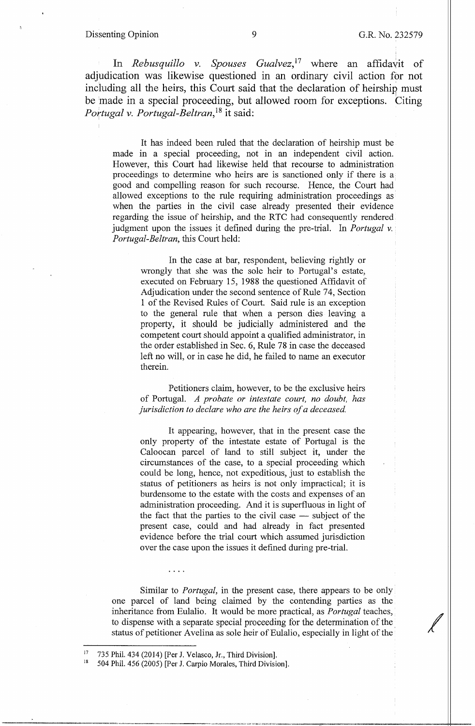#### Dissenting Opinion 9 G.R. No. 232579

In *Rebusquillo v. Spouses Gualvez*,<sup>17</sup> where an affidavit of adjudication was likewise questioned in an ordinary civil action for not including all the heirs, this Court said that the declaration of heirship must be made in a special proceeding, but allowed room for exceptions. Citing *Pm1 tugal v. Portugal-Beltran,* 18 it said:

It has indeed been ruled that the declaration of heirship must be made in a special proceeding, not in an independent civil action. However, this Court had likewise held that recourse to administration proceedings to determine who heirs are is sanctioned only if there is a good and compelling reason for such recourse. Hence, the Court had allowed exceptions to the rule requiring administration proceedings as when the parties in the civil case already presented their evidence regarding the issue of heirship, and the RTC had consequently rendered judgment upon the issues it defined during the pre-trial. In *Portugal* v. *Portugal-Beltran,* this Court held:

In the case at bar, respondent, believing rightly or wrongly that she was the sole heir to Portugal's estate, executed on February 15, 1988 the questioned Affidavit of Adjudication under the second sentence of Rule 74, Section 1 of the Revised Rules of Court. Said rule is an exception to the general rule that when a person dies leaving a property, it should be judicially administered and the competent court should appoint a qualified administrator, in the order established in Sec. 6, Rule 78 in case the deceased left no will, or in case he did, he failed to name an executor therein.

Petitioners claim, however, to be the exclusive heirs of Portugal. *A probate or intestate court, no doubt, has jurisdiction to declare who are the heirs of a deceased* 

It appearing, however, that in the present case the only property of the intestate estate of Portugal is the Caloocan parcel of land to still subject it, under the circumstances of the case, to a special proceeding which could be long, hence, not expeditious, just to establish the status of petitioners as heirs is not only impractical; it is burdensome to the estate with the costs and expenses of an administration proceeding. And it is superfluous in light of the fact that the parties to the civil case  $-$  subject of the present case, could and had already in fact presented evidence before the trial court which assumed jurisdiction over the case upon the issues it defined during pre-trial.

Similar to *Portugal,* in the present case, there appears to be only one parcel of land being claimed by the contending parties as the inheritance from Eulalio. It would be more practical, as *Portugal* teaches, to dispense with a separate special proceeding for the determination of the status of petitioner Avelina as sole heir of Eulalio, especially in light of the

 $\cdots$ 

<sup>&</sup>lt;sup>17</sup> 735 Phil. 434 (2014) [Per J. Velasco, Jr., Third Division].<br><sup>18</sup> 504 Phil. 456 (2005) [Per J. Carpio Morales, Third Division].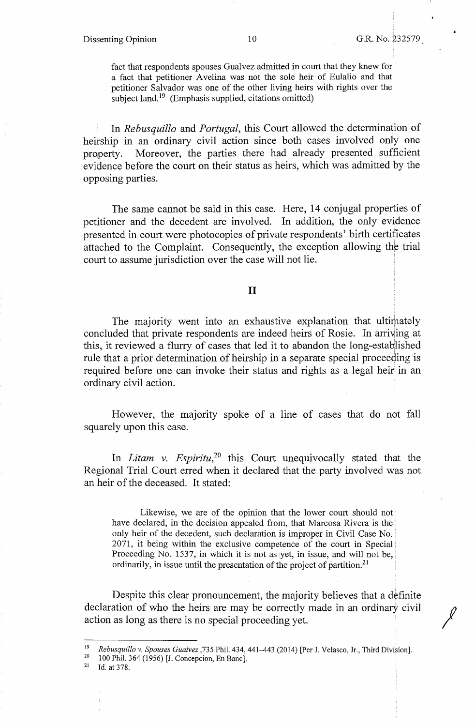#### Dissenting Opinion 10 G.R. No. 232579

fact that respondents spouses Gualvez admitted in court that they knew for a fact that petitioner Avelina was not the sole heir of Eulalio and that' petitioner Salvador was one of the other living heirs with rights over the subject land. $\frac{19}{2}$  (Emphasis supplied, citations omitted)

In *Rebusquillo* and *Portugal,* this Court allowed the determination of heirship in an ordinary civil action since both cases involved only one property. Moreover, the parties there had already presented sufficient evidence before the court on their status as heirs, which was admitted by the opposing parties.

The same cannot be said in this case. Here, 14 conjugal properties of petitioner and the decedent are involved. In addition, the only evidence presented in court were photocopies of private respondents' birth certificates attached to the Complaint. Consequently, the exception allowing the trial court to assume jurisdiction over the case will not lie.

### II

The majority went into an exhaustive explanation that ultimately concluded that private respondents are indeed heirs of Rosie. In arriving at this, it reviewed a flurry of cases that led it to abandon the long-established rule that a prior determination of heirship in a separate special proceeding is required before one can invoke their status and rights as a legal heir in an ordinary civil action.

However, the majority spoke of a line of cases that do not fall squarely upon this case.

In *Litam v. Espiritu*,<sup>20</sup> this Court unequivocally stated that the Regional Trial Court erred when it declared that the party involved was not an heir of the deceased. It stated:

Likewise, we are of the opinion that the lower court should not' have declared, in the decision appealed from, that Marcosa Rivera is the ' only heir of the decedent, such declaration is improper in Civil Case No.: 2071, it being within the exclusive competence of the court in Special l Proceeding No. 1537, in which it is not as yet, in issue, and will not be, ordinarily, in issue until the presentation of the project of partition.<sup>21</sup>

Despite this clear pronouncement, the majority believes that a definite declaration of who the heirs are may be correctly made in an ordinary civil action as long as there is no special proceeding yet.

<sup>&</sup>lt;sup>19</sup> Rebusquillo v. Spouses Gualvez , 735 Phil. 434, 441-443 (2014) [Per J. Velasco, Jr., Third Division].<br><sup>20</sup> 100 Phil. 364 (1956) [J. Concepcion, En Banc].<br><sup>21</sup> Id. at 378.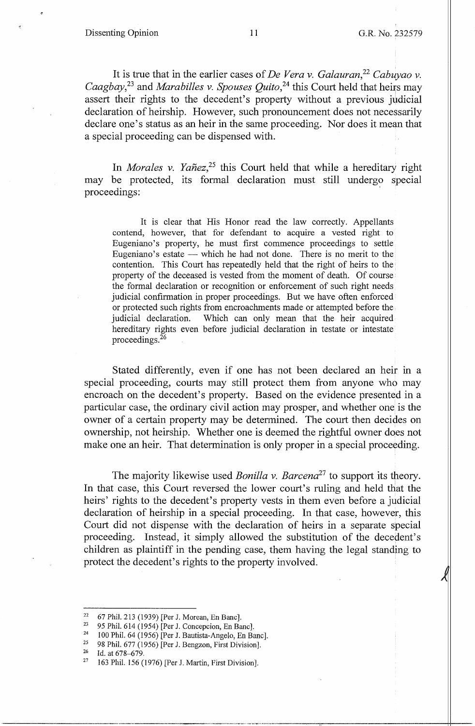It is true that in the earlier cases of *De Vera v. Galauran,* <sup>22</sup>*Cabuyao v. Caagbay*,<sup>23</sup> and *Marabilles v. Spouses Quito*,<sup>24</sup> this Court held that heirs may assert their rights to the decedent's property without a previous judicial declaration of heirship. However, such pronouncement does not necessarily declare one's status as an heir in the same proceeding. Nor does it mean that a special proceeding can be dispensed with.

In *Morales v. Yañez*<sup>25</sup> this Court held that while a hereditary right may be protected, its formal declaration must still undergo special proceedings:

It is clear that His Honor read the law correctly. Appellants contend, however, that for defendant to acquire a vested right to Eugeniano's property, he must first commence proceedings to settle Eugeniano's estate — which he had not done. There is no merit to the contention. This Court has repeatedly held that the right of heirs to the property of the deceased is vested from the moment of death. Of course the formal declaration or recognition or enforcement of such right needs judicial confirmation in proper proceedings. But we have often enforced or protected such rights from encroachments made or attempted before the judicial declaration. Which can only mean that the heir acquired hereditary rights even before judicial declaration in testate or intestate proceedings. 26

Stated differently, even if one has not been declared an heir in a special proceeding, courts may still protect them from anyone who may encroach on the decedent's property. Based on the evidence presented in a particular case, the ordinary civil action may prosper, and whether one is the owner of a certain property may be detennined. The court then decides on ownership, not heirship. Whether one is deemed the rightful owner does not make one an heir. That determination is only proper in a special proceeding.

The majority likewise used *Bonilla v. Barcena*<sup>27</sup> to support its theory. In that case, this Court reversed the lower court's ruling and held that the heirs' rights to the decedent's property vests in them even before a judicial declaration of heirship in a special proceeding. In that case, however, this Court did not dispense with the declaration of heirs in a separate special proceeding. Instead, it simply allowed the substitution of the decedent's children as plaintiff in the pending case, them having the legal standjng to protect the decedent's rights to the property involved.

<sup>&</sup>lt;sup>22</sup> 67 Phil. 213 (1939) [Per J. Morean, En Banc].<br><sup>23</sup> 95 Phil. 614 (1954) [Per J. Concepcion, En Banc].<br><sup>24</sup> 100 Phil. 64 (1956) [Per J. Bautista-Angelo, En Banc].<br><sup>25</sup> 08 Phil. 677 (1956) [Per J. Banczen, Eint Division

<sup>&</sup>lt;sup>25</sup> 98 Phil. 677 (1956) [Per J. Bengzon, First Division].<br><sup>26</sup> Id at 678–679

<sup>&</sup>lt;sup>26</sup> Id. at 678–679.<br><sup>27</sup> 163 Phil. 156 (1976) [Per J. Martin, First Division].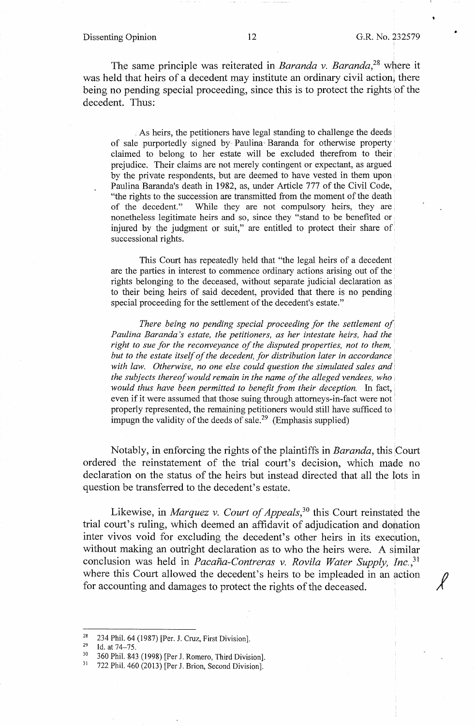#### Dissenting Opinion 12 G.R. No. 232579

,.

*j* 

The same principle was reiterated in *Baranda* v. *Baranda*<sup>28</sup> where it was held that heirs of a decedent may institute an ordinary civil action, there being no pending special proceeding, since this is to protect the rights 'of the decedent. Thus:

. As heirs, the petitioners have legal standing to challenge the deeds of sale purportedly signed by Paulina· Baranda for otherwise property claimed to belong to her estate will be excluded therefrom to their prejudice. Their claims are not merely contingent or expectant, as argued by the private respondents, but are deemed to have vested in them upon Paulina Baranda's death in 1982, as, under Article 777 of the Civil Code, "the rights to the succession are transmitted from the moment of the death of the decedent." While they are not compulsory heirs, they are nonetheless legitimate heirs and so, since they "stand to be benefited or injured by the judgment or suit," are entitled to protect their share of successional rights.

This Court has repeatedly held that "the legal heirs of a decedent are the parties in interest to commence ordinary actions arising out of the rights belonging to the deceased, without separate judicial declaration as to their being heirs of said decedent, provided that there is no pending special proceeding for the settlement of the decedent's estate."

*There being no pending special proceeding for the settlement of Paulina Baranda 's estate, the petitioners, as her intestate heirs, had the right to sue for the reconveyance of the disputed properties, not to them, but to the estate itself of the decedent, for distribution later in accordance with law. Otherwise, no one else could question the simulated sales and· the subjects thereof would remain in the name of the alleged vendees, who* . *would thus have been permitted to benefit from their deception.* In fact, even if it were assumed that those suing through attorneys-in-fact were not· properly represented, the remaining petitioners would still have sufficed to impugn the validity of the deeds of sale.<sup>29</sup> (Emphasis supplied)

Notably, in enforcing the rights of the plaintiffs in *Baranda,* this Court ordered the reinstatement of the trial court's decision, which made no declaration on the status of the heirs but instead directed that all the Iots in question be transferred to the decedent's estate.

Likewise, in *Marquez v. Court of Appeals*,<sup>30</sup> this Court reinstated the trial court's ruling, which deemed an affidavit of adjudication and dobation inter vivos void for excluding the decedent's other heirs in its execution, without making an outright declaration as to who the heirs were. A similar conclusion was held in *Pacana-Contreras* v. *Rovila Water Supply, Jnc.,*<sup>31</sup> where this Court allowed the decedent's heirs to be impleaded in an action for accounting and damages to protect the rights of the deceased.

<sup>&</sup>lt;sup>28</sup> 234 Phil. 64 (1987) [Per. J. Cruz, First Division].<br><sup>29</sup> Id. at 74–75.<br><sup>30</sup> 360 Phil. 843 (1998) [Per J. Romero, Third Division].<br><sup>31</sup> 722 Phil. 460 (2013) [Per J. Brion, Second Division].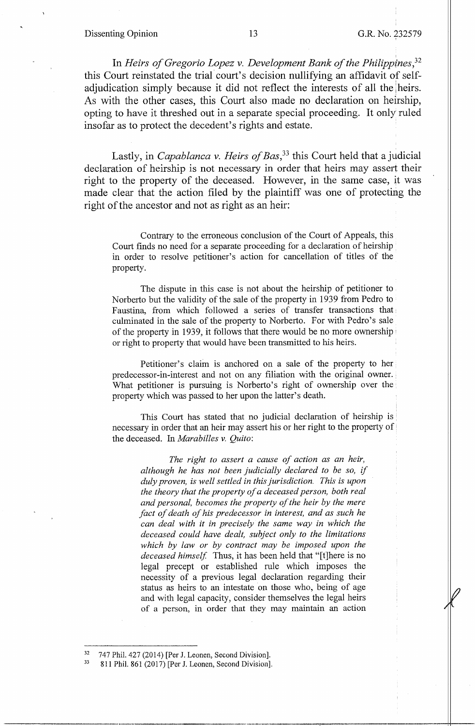#### Dissenting Opinion 13 G.R. No. 232579

In *Heirs of Gregorio Lopez v. Development Bank of the Philippines,32*  this Court reinstated the trial court's decision nullifying an affidavit of selfadjudication simply because it did not reflect the interests of all the heirs. As with the other cases, this Court also made no declaration on heirship, opting to have it threshed out in a separate special proceeding. It only ruled insofar as to protect the decedent's rights and estate.

Lastly, in *Capablanca v. Heirs of Bas,33* this Court held that a judicial declaration of heirship is not necessary in order that heirs may assert their right to the property of the deceased. However, in the same case, it was made clear that the action filed by the plaintiff was one of protecting the right of the ancestor and not as right as an heir:

Contrary to the erroneous conclusion of the Court of Appeals, this Court finds no need for a separate proceeding for a declaration of heirship in order to resolve petitioner's action for cancellation of titles of the property.

The dispute in this case is not about the heirship of petitioner to Norberto but the validity of the sale of the property in 1939 from Pedro to Faustina, from which followed a series of transfer transactions that culminated in the sale of the property to Norberto. For with Pedro's sale of the property in 1939, it follows that there would be no more ownership· or right to property that would have been transmitted to his heirs.

Petitioner's claim is anchored on a sale of the property to her predecessor-in-interest and not on any filiation with the original owner. What petitioner is pursuing is Norberto's right of ownership over the property which was passed to her upon the latter's death.

This Court has stated that no judicial declaration of heirship is necessary in order that an heir may assert his or her right to the property of' the deceased. In *Marabilles v. Quito:* 

*The right to assert a cause of action as an heir, although he has not been judicially declared to be so, if duly proven, is well settled in this jurisdiction. This is upon the theory that the property of a deceased person, both real and personal, becomes the property of the heir by the mere fact of death of his predecessor in interest, and as such he can deal with it in precisely the same way in which the deceased could have dealt, subject only to the limitations which by law or by contract may be imposed upon the deceased himself.* Thus, it has been held that "[t]here is no legal precept or established rule which imposes the necessity of a previous legal declaration regarding their status as heirs to an intestate on those who, being of age and with legal capacity, consider themselves the legal heirs of a person, in order that they may maintain an action

 $32$  747 Phil. 427 (2014) [Per J. Leonen, Second Division].<br> $33$  811 Phil. 861 (2017) [Per J. Leonen, Second Division].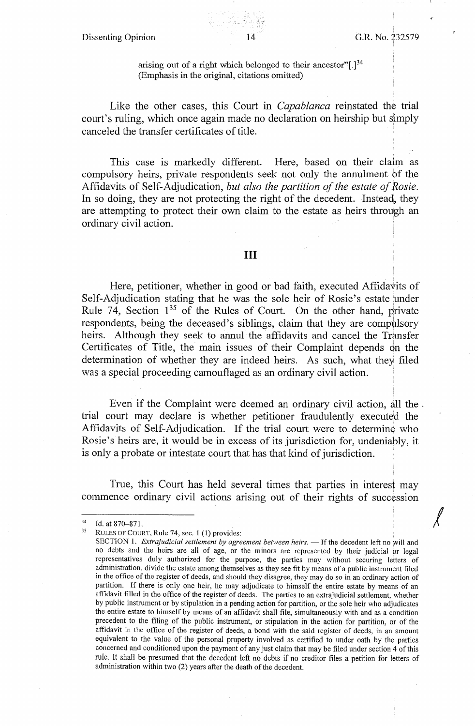Dissenting Opinion 14 G.R. No. 232579

*I* 

arising out of a right which belonged to their ancestor"[.]<sup>34</sup> (Emphasis in the original, citations omitted)

Like the other cases, this Court in *Capablanca* reinstated the trial court's ruling, which once again made no declaration on heirship but simply canceled the transfer certificates of title.

This case is markedly different. Here, based on their claim as compulsory heirs, private respondents seek not only the annulment of the Affidavits of Self-Adjudication, *but also the partition of the estate of Rosie.*  In so doing, they are not protecting the right of the decedent. Instead, they are attempting to protect their own claim to the estate as heirs through an ordinary civil action.

## III

Here, petitioner, whether in good or bad faith, executed Affidavits of Self-Adjudication stating that he was the sole heir of Rosie's estate under Rule 74, Section  $1^{35}$  of the Rules of Court. On the other hand, private respondents, being the deceased's siblings, claim that they are compulsory heirs. Although they seek to annul the affidavits and cancel the Transfer Certificates of Title, the main issues of their Complaint depends on the determination of whether they are indeed heirs. As such, what they filed was a special proceeding camouflaged as an ordinary civil action.

Even if the Complaint were deemed an ordinary civil action, all the , trial court may declare is whether petitioner fraudulently executed the Affidavits of Self-Adjudication. If the trial court were to determine who Rosie's heirs are, it would be in excess of its jurisdiction for, undeniably, it is only a probate or intestate court that has that kind of jurisdiction.

True, this Court has held several times that parties in interest may commence ordinary civil actions arising out of their rights of succession

<sup>&</sup>lt;sup>34</sup> Id. at 870–871.<br><sup>35</sup> RULES OF COURT, Rule 74, sec. 1 (1) provides:

SECTION 1. *Extrajudicial settlement by agreement between heirs*. - If the decedent left no will and no debts and the heirs are all of age, or the minors are represented by their judicial or legal representatives duly authorized for the purpose, the parties may without securing letters of administration, divide the estate among themselves as they see fit by means of a public instrument filed in the office of the register of deeds, and should they disagree, they may do so in an ordinary action of partition. If there is only one heir, he may adjudicate to himself the entire estate by means of an affidavit filled in the office of the register of deeds. The parties to an extrajudicial settlement, whether by public instrument or by stipulation in a pending action for partition, or the sole heir who adjudicates the entire estate to himself by means of an affidavit shall file, simultaneously with and as a condition precedent to the filing of the public instrument, or stipulation in the action for partition, or of the affidavit in the office of the register of deeds, a bond with the said register of deeds, in an amount equivalent to the value of the personal property involved as certified to under oath by the parties concerned and conditioned upon the payment of any just claim that may be filed under section 4 of this rule. It shall be presumed that the decedent left no debts if no creditor files a petition for letters of administration within two (2) years after the death of the decedent.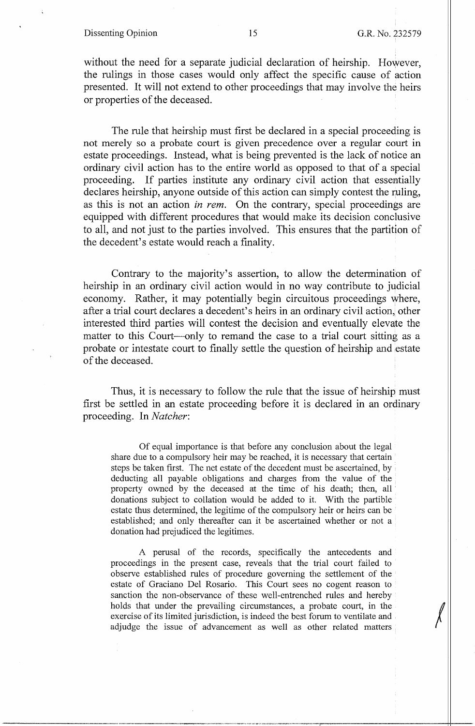### Dissenting Opinion 15 G.R. No. 232579

without the need for a separate judicial declaration of heirship. However, the rulings in those cases would only affect the specific cause of action presented. It will not extend to other proceedings that may involve the heirs or properties of the deceased.

The rule that heirship must first be declared in a special proceeding is not merely so a probate court is given precedence over a regular court in estate proceedings. Instead, what is being prevented is the lack of notice an ordinary civil action has to the entire world as opposed to that of a special proceeding. If parties institute any ordinary civil action that essentially declares heirship, anyone outside of this action can simply contest the ruling, as this is not an action *in rem.* On the contrary, special proceedings are equipped with different procedures that would make its decision conclusive to all, and not just to the parties involved. This ensures that the partition of the decedent's estate would reach a finality.

Contrary to the majority's assertion, to allow the determination of heirship in an ordinary civil action would in no way contribute to judicial economy. Rather, it may potentially begin circuitous proceedings where, after a trial court declares a decedent's heirs in an ordinary civil action, other interested third parties will contest the decision and eventually elevate the matter to this Court—only to remand the case to a trial court sitting as a probate or intestate court to finally settle the question of heirship and estate of the deceased.

Thus, it is necessary to follow the rule that the issue of heirship must first be settled in an estate proceeding before it is declared in an ordinary proceeding. In *Natcher:* 

Of equal importance is that before any conclusion about the legal share due to a compulsory heir may be reached, it is necessary that certain steps be taken first. The net estate of the decedent must be ascertained, by deducting all payable obligations and charges from the value of the property owned by the deceased at the time of his death; then, all ' donations subject to collation would be added to it. With the partible estate thus determined, the legitime of the compulsory heir or heirs can be established; and only thereafter can it be ascertained whether or not a donation had prejudiced the legitimes.

A perusal of the records, specifically the antecedents and proceedings in the present case, reveals that the trial court failed to observe established rules of procedure governing the settlement of the estate of Graciano Del Rosario. This Court sees no cogent reason to sanction the non-observance of these well-entrenched rules and hereby holds that under the prevailing circumstances, a probate court, in the exercise of its limited jurisdiction, is indeed the best forum to ventilate and adjudge the issue of advancement as well as other related metters exercise of its limited jurisdiction, is indeed the best forum to ventilate and , adjudge the issue of advancement as well as other related matters